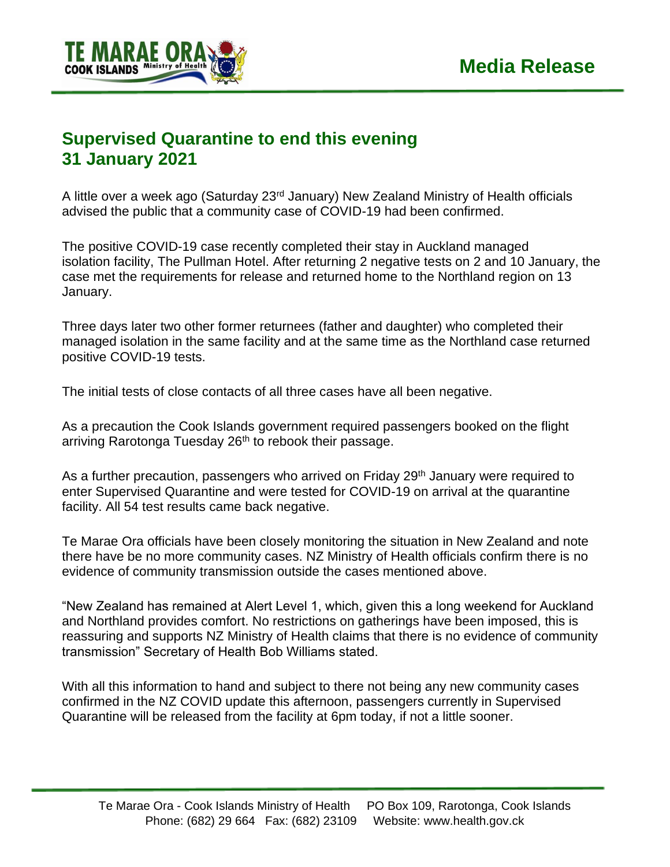

## **Supervised Quarantine to end this evening 31 January 2021**

A little over a week ago (Saturday 23<sup>rd</sup> January) New Zealand Ministry of Health officials advised the public that a community case of COVID-19 had been confirmed.

The positive COVID-19 case recently completed their stay in Auckland managed isolation facility, The Pullman Hotel. After returning 2 negative tests on 2 and 10 January, the case met the requirements for release and returned home to the Northland region on 13 January.

Three days later two other former returnees (father and daughter) who completed their managed isolation in the same facility and at the same time as the Northland case returned positive COVID-19 tests.

The initial tests of close contacts of all three cases have all been negative.

As a precaution the Cook Islands government required passengers booked on the flight arriving Rarotonga Tuesday 26<sup>th</sup> to rebook their passage.

As a further precaution, passengers who arrived on Friday 29<sup>th</sup> January were required to enter Supervised Quarantine and were tested for COVID-19 on arrival at the quarantine facility. All 54 test results came back negative.

Te Marae Ora officials have been closely monitoring the situation in New Zealand and note there have be no more community cases. NZ Ministry of Health officials confirm there is no evidence of community transmission outside the cases mentioned above.

"New Zealand has remained at Alert Level 1, which, given this a long weekend for Auckland and Northland provides comfort. No restrictions on gatherings have been imposed, this is reassuring and supports NZ Ministry of Health claims that there is no evidence of community transmission" Secretary of Health Bob Williams stated.

With all this information to hand and subject to there not being any new community cases confirmed in the NZ COVID update this afternoon, passengers currently in Supervised Quarantine will be released from the facility at 6pm today, if not a little sooner.